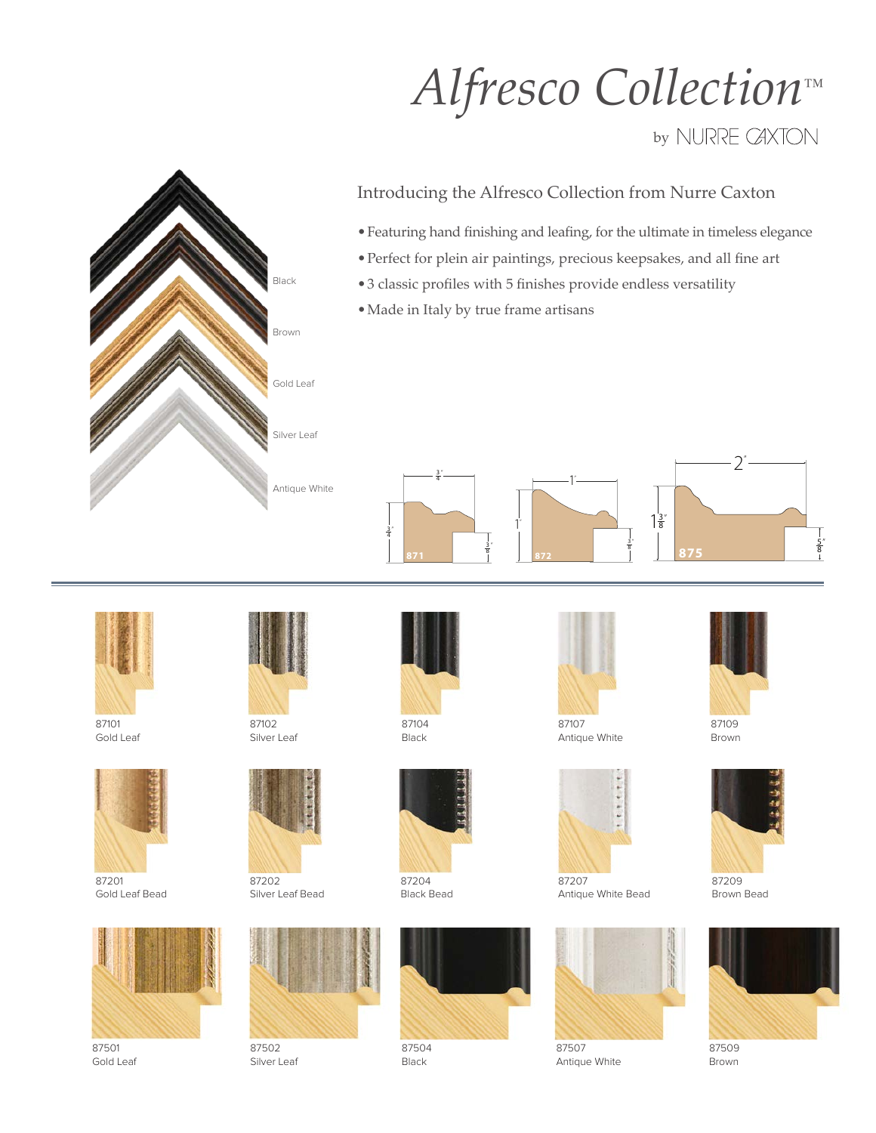## *Alfresco Collection™*

## by NURRE CAXTON



## Introducing the Alfresco Collection from Nurre Caxton

- Featuring hand finishing and leafing, for the ultimate in timeless elegance
- • Perfect for plein air paintings, precious keepsakes, and all fine art
- • 3 classic profiles with 5 finishes provide endless versatility
- • Made in Italy by true frame artisans

3 4 " 8 " 3 4 " 1"  $\dot{1}$ " 3 8 "  $1\frac{3}{8}$ **875**



87101 Gold Leaf



87201 Gold Leaf Bead



87501 Gold Leaf



Silver Leaf



87202 Silver Leaf Bead



87502 Silver Leaf



Black



87204 Black Bead



87107 Antique White



87207 Antique White Bead



Antique White



2"

5 8 "

87109 Brown



87209 Brown Bead



87509 Brown



87504 Black